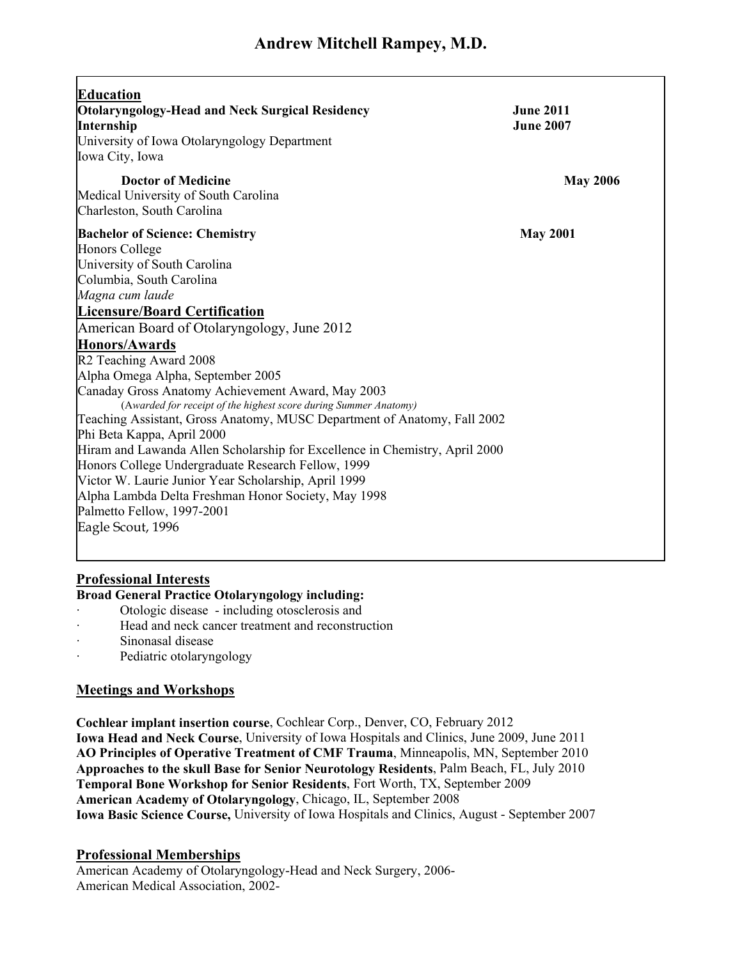| <b>Education</b><br><b>Otolaryngology-Head and Neck Surgical Residency</b><br><b>Internship</b><br>University of Iowa Otolaryngology Department<br>Iowa City, Iowa | <b>June 2011</b><br><b>June 2007</b> |
|--------------------------------------------------------------------------------------------------------------------------------------------------------------------|--------------------------------------|
| <b>Doctor of Medicine</b><br>Medical University of South Carolina                                                                                                  | <b>May 2006</b>                      |
| Charleston, South Carolina                                                                                                                                         |                                      |
| <b>Bachelor of Science: Chemistry</b>                                                                                                                              | <b>May 2001</b>                      |
| Honors College                                                                                                                                                     |                                      |
| University of South Carolina<br>Columbia, South Carolina                                                                                                           |                                      |
| Magna cum laude                                                                                                                                                    |                                      |
| <b>Licensure/Board Certification</b>                                                                                                                               |                                      |
| American Board of Otolaryngology, June 2012                                                                                                                        |                                      |
| <b>Honors/Awards</b>                                                                                                                                               |                                      |
| R2 Teaching Award 2008                                                                                                                                             |                                      |
| Alpha Omega Alpha, September 2005                                                                                                                                  |                                      |
| Canaday Gross Anatomy Achievement Award, May 2003                                                                                                                  |                                      |
| (Awarded for receipt of the highest score during Summer Anatomy)                                                                                                   |                                      |
| Teaching Assistant, Gross Anatomy, MUSC Department of Anatomy, Fall 2002                                                                                           |                                      |
| Phi Beta Kappa, April 2000                                                                                                                                         |                                      |
| Hiram and Lawanda Allen Scholarship for Excellence in Chemistry, April 2000<br>Honors College Undergraduate Research Fellow, 1999                                  |                                      |
| Victor W. Laurie Junior Year Scholarship, April 1999                                                                                                               |                                      |
| Alpha Lambda Delta Freshman Honor Society, May 1998                                                                                                                |                                      |
| Palmetto Fellow, 1997-2001                                                                                                                                         |                                      |
| Eagle Scout, 1996                                                                                                                                                  |                                      |
|                                                                                                                                                                    |                                      |

## **Professional Interests**

## **Broad General Practice Otolaryngology including:**

- · Otologic disease including otosclerosis and
- Head and neck cancer treatment and reconstruction
- Sinonasal disease
- Pediatric otolaryngology

#### **Meetings and Workshops**

**Cochlear implant insertion course**, Cochlear Corp., Denver, CO, February 2012 **Iowa Head and Neck Course**, University of Iowa Hospitals and Clinics, June 2009, June 2011 **AO Principles of Operative Treatment of CMF Trauma**, Minneapolis, MN, September 2010 **Approaches to the skull Base for Senior Neurotology Residents**, Palm Beach, FL, July 2010 **Temporal Bone Workshop for Senior Residents**, Fort Worth, TX, September 2009 **American Academy of Otolaryngology**, Chicago, IL, September 2008 **Iowa Basic Science Course,** University of Iowa Hospitals and Clinics, August - September 2007

#### **Professional Memberships**

American Academy of Otolaryngology-Head and Neck Surgery, 2006- American Medical Association, 2002-